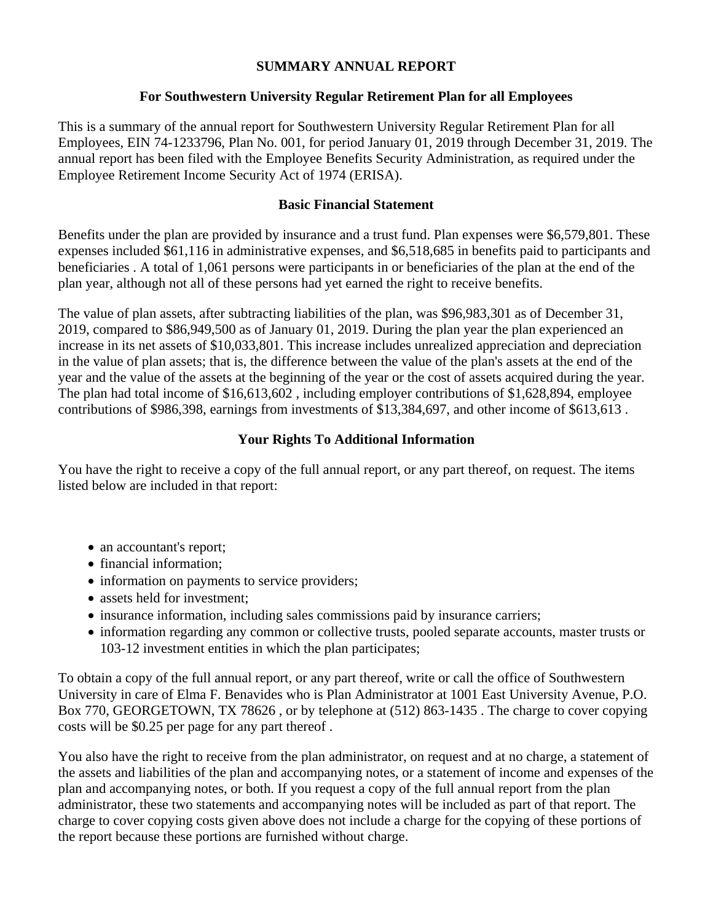## **SUMMARY ANNUAL REPORT**

## **For Southwestern University Regular Retirement Plan for all Employees**

This is a summary of the annual report for Southwestern University Regular Retirement Plan for all Employees, EIN 74-1233796, Plan No. 001, for period January 01, 2019 through December 31, 2019. The annual report has been filed with the Employee Benefits Security Administration, as required under the Employee Retirement Income Security Act of 1974 (ERISA).

### **Basic Financial Statement**

Benefits under the plan are provided by insurance and a trust fund. Plan expenses were \$6,579,801. These expenses included \$61,116 in administrative expenses, and \$6,518,685 in benefits paid to participants and beneficiaries . A total of 1,061 persons were participants in or beneficiaries of the plan at the end of the plan year, although not all of these persons had yet earned the right to receive benefits.

The value of plan assets, after subtracting liabilities of the plan, was \$96,983,301 as of December 31, 2019, compared to \$86,949,500 as of January 01, 2019. During the plan year the plan experienced an increase in its net assets of \$10,033,801. This increase includes unrealized appreciation and depreciation in the value of plan assets; that is, the difference between the value of the plan's assets at the end of the year and the value of the assets at the beginning of the year or the cost of assets acquired during the year. The plan had total income of \$16,613,602 , including employer contributions of \$1,628,894, employee contributions of \$986,398, earnings from investments of \$13,384,697, and other income of \$613,613 .

### **Your Rights To Additional Information**

You have the right to receive a copy of the full annual report, or any part thereof, on request. The items listed below are included in that report:

- an accountant's report;
- financial information;
- information on payments to service providers;
- assets held for investment;
- insurance information, including sales commissions paid by insurance carriers;
- information regarding any common or collective trusts, pooled separate accounts, master trusts or 103-12 investment entities in which the plan participates;

To obtain a copy of the full annual report, or any part thereof, write or call the office of Southwestern University in care of Elma F. Benavides who is Plan Administrator at 1001 East University Avenue, P.O. Box 770, GEORGETOWN, TX 78626 , or by telephone at (512) 863-1435 . The charge to cover copying costs will be \$0.25 per page for any part thereof .

You also have the right to receive from the plan administrator, on request and at no charge, a statement of the assets and liabilities of the plan and accompanying notes, or a statement of income and expenses of the plan and accompanying notes, or both. If you request a copy of the full annual report from the plan administrator, these two statements and accompanying notes will be included as part of that report. The charge to cover copying costs given above does not include a charge for the copying of these portions of the report because these portions are furnished without charge.